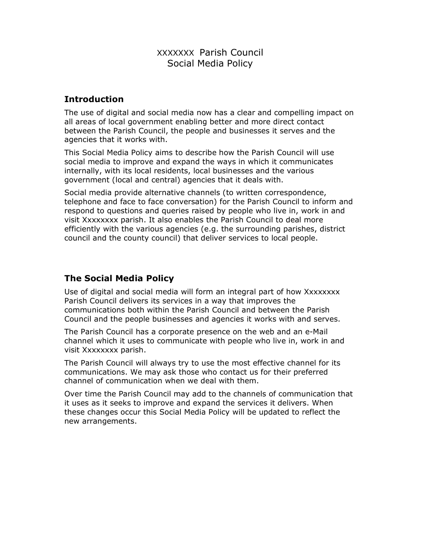## XXXXXXX Parish Council Social Media Policy

## Introduction

The use of digital and social media now has a clear and compelling impact on all areas of local government enabling better and more direct contact between the Parish Council, the people and businesses it serves and the agencies that it works with.

This Social Media Policy aims to describe how the Parish Council will use social media to improve and expand the ways in which it communicates internally, with its local residents, local businesses and the various government (local and central) agencies that it deals with.

Social media provide alternative channels (to written correspondence, telephone and face to face conversation) for the Parish Council to inform and respond to questions and queries raised by people who live in, work in and visit Xxxxxxxx parish. It also enables the Parish Council to deal more efficiently with the various agencies (e.g. the surrounding parishes, district council and the county council) that deliver services to local people.

# The Social Media Policy

Use of digital and social media will form an integral part of how Xxxxxxxx Parish Council delivers its services in a way that improves the communications both within the Parish Council and between the Parish Council and the people businesses and agencies it works with and serves.

The Parish Council has a corporate presence on the web and an e-Mail channel which it uses to communicate with people who live in, work in and visit Xxxxxxxx parish.

The Parish Council will always try to use the most effective channel for its communications. We may ask those who contact us for their preferred channel of communication when we deal with them.

Over time the Parish Council may add to the channels of communication that it uses as it seeks to improve and expand the services it delivers. When these changes occur this Social Media Policy will be updated to reflect the new arrangements.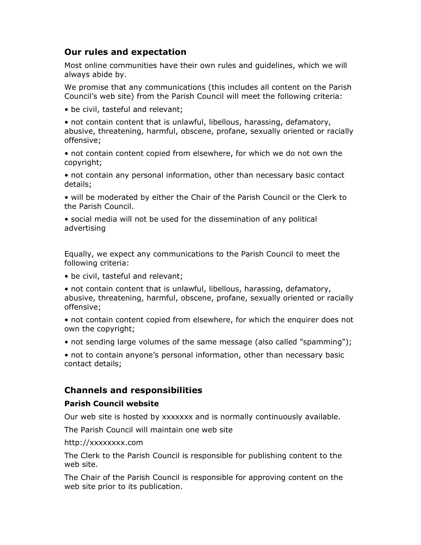## Our rules and expectation

Most online communities have their own rules and guidelines, which we will always abide by.

We promise that any communications (this includes all content on the Parish Council's web site) from the Parish Council will meet the following criteria:

• be civil, tasteful and relevant;

• not contain content that is unlawful, libellous, harassing, defamatory, abusive, threatening, harmful, obscene, profane, sexually oriented or racially offensive;

• not contain content copied from elsewhere, for which we do not own the copyright;

• not contain any personal information, other than necessary basic contact details;

• will be moderated by either the Chair of the Parish Council or the Clerk to the Parish Council.

• social media will not be used for the dissemination of any political advertising

Equally, we expect any communications to the Parish Council to meet the following criteria:

• be civil, tasteful and relevant;

• not contain content that is unlawful, libellous, harassing, defamatory, abusive, threatening, harmful, obscene, profane, sexually oriented or racially offensive;

• not contain content copied from elsewhere, for which the enquirer does not own the copyright;

• not sending large volumes of the same message (also called "spamming");

• not to contain anyone's personal information, other than necessary basic contact details;

### Channels and responsibilities

#### Parish Council website

Our web site is hosted by xxxxxxx and is normally continuously available.

The Parish Council will maintain one web site

http://xxxxxxxx.com

The Clerk to the Parish Council is responsible for publishing content to the web site.

The Chair of the Parish Council is responsible for approving content on the web site prior to its publication.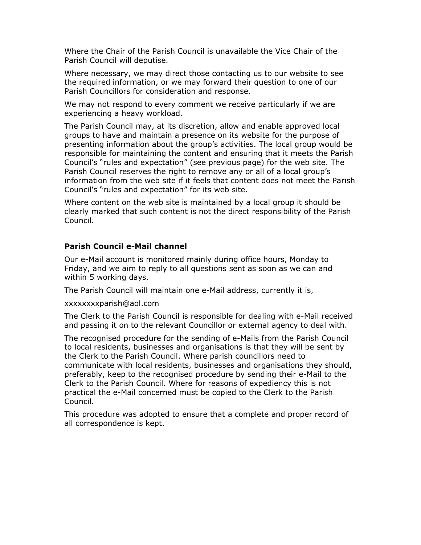Where the Chair of the Parish Council is unavailable the Vice Chair of the Parish Council will deputise.

Where necessary, we may direct those contacting us to our website to see the required information, or we may forward their question to one of our Parish Councillors for consideration and response.

We may not respond to every comment we receive particularly if we are experiencing a heavy workload.

The Parish Council may, at its discretion, allow and enable approved local groups to have and maintain a presence on its website for the purpose of presenting information about the group's activities. The local group would be responsible for maintaining the content and ensuring that it meets the Parish Council's "rules and expectation" (see previous page) for the web site. The Parish Council reserves the right to remove any or all of a local group's information from the web site if it feels that content does not meet the Parish Council's "rules and expectation" for its web site.

Where content on the web site is maintained by a local group it should be clearly marked that such content is not the direct responsibility of the Parish Council.

#### Parish Council e-Mail channel

Our e-Mail account is monitored mainly during office hours, Monday to Friday, and we aim to reply to all questions sent as soon as we can and within 5 working days.

The Parish Council will maintain one e-Mail address, currently it is,

xxxxxxxxparish@aol.com

The Clerk to the Parish Council is responsible for dealing with e-Mail received and passing it on to the relevant Councillor or external agency to deal with.

The recognised procedure for the sending of e-Mails from the Parish Council to local residents, businesses and organisations is that they will be sent by the Clerk to the Parish Council. Where parish councillors need to communicate with local residents, businesses and organisations they should, preferably, keep to the recognised procedure by sending their e-Mail to the Clerk to the Parish Council. Where for reasons of expediency this is not practical the e-Mail concerned must be copied to the Clerk to the Parish Council.

This procedure was adopted to ensure that a complete and proper record of all correspondence is kept.